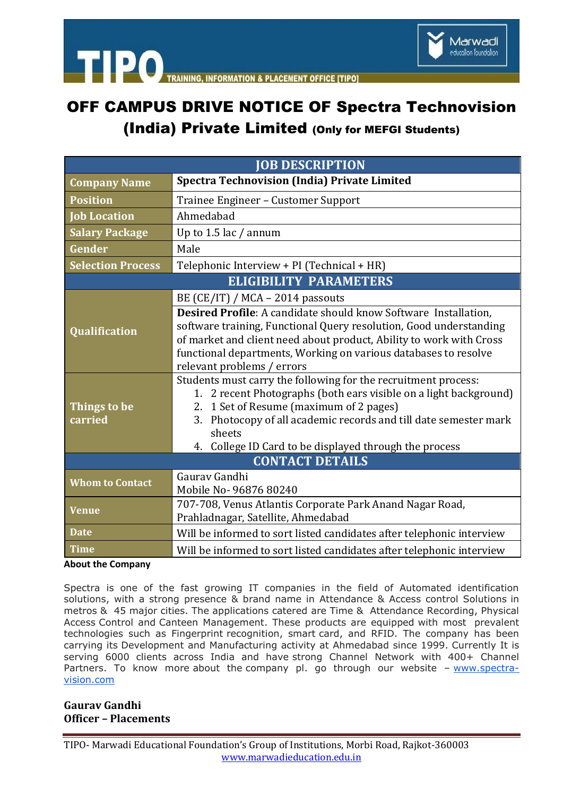

**TIPO ACEMENT OFFICE ITIPOL** 

# OFF CAMPUS DRIVE NOTICE OF Spectra Technovision

### (India) Private Limited (Only for MEFGI Students)

| <b>JOB DESCRIPTION</b>        |                                                                                                                                                                                                                                                                                                                              |
|-------------------------------|------------------------------------------------------------------------------------------------------------------------------------------------------------------------------------------------------------------------------------------------------------------------------------------------------------------------------|
| <b>Company Name</b>           | <b>Spectra Technovision (India) Private Limited</b>                                                                                                                                                                                                                                                                          |
| <b>Position</b>               | Trainee Engineer - Customer Support                                                                                                                                                                                                                                                                                          |
| <b>Job Location</b>           | Ahmedabad                                                                                                                                                                                                                                                                                                                    |
| <b>Salary Package</b>         | Up to $1.5$ lac / annum                                                                                                                                                                                                                                                                                                      |
| Gender                        | Male                                                                                                                                                                                                                                                                                                                         |
| <b>Selection Process</b>      | Telephonic Interview + PI (Technical + HR)                                                                                                                                                                                                                                                                                   |
| <b>ELIGIBILITY PARAMETERS</b> |                                                                                                                                                                                                                                                                                                                              |
| <b>Qualification</b>          | BE (CE/IT) / MCA - 2014 passouts                                                                                                                                                                                                                                                                                             |
|                               | Desired Profile: A candidate should know Software Installation,<br>software training, Functional Query resolution, Good understanding<br>of market and client need about product, Ability to work with Cross<br>functional departments, Working on various databases to resolve<br>relevant problems / errors                |
| Things to be<br>carried       | Students must carry the following for the recruitment process:<br>1. 2 recent Photographs (both ears visible on a light background)<br>1 Set of Resume (maximum of 2 pages)<br>2.<br>Photocopy of all academic records and till date semester mark<br>3.<br>sheets<br>4. College ID Card to be displayed through the process |
| <b>CONTACT DETAILS</b>        |                                                                                                                                                                                                                                                                                                                              |
| <b>Whom to Contact</b>        | Gauray Gandhi<br>Mobile No-96876 80240                                                                                                                                                                                                                                                                                       |
| <b>Venue</b>                  | 707-708, Venus Atlantis Corporate Park Anand Nagar Road,<br>Prahladnagar, Satellite, Ahmedabad                                                                                                                                                                                                                               |
| <b>Date</b>                   | Will be informed to sort listed candidates after telephonic interview                                                                                                                                                                                                                                                        |
| <b>Time</b>                   | Will be informed to sort listed candidates after telephonic interview                                                                                                                                                                                                                                                        |

#### **About the Company**

Spectra is one of the fast growing IT companies in the field of Automated identification solutions, with a strong presence & brand name in Attendance & Access control Solutions in metros & 45 major cities. The applications catered are Time & Attendance Recording, Physical Access Control and Canteen Management. These products are equipped with most prevalent technologies such as Fingerprint recognition, smart card, and RFID. The company has been carrying its Development and Manufacturing activity at Ahmedabad since 1999. Currently It is serving 6000 clients across India and have strong Channel Network with 400+ Channel Partners. To know more about the company pl. go through our website – [www.spectra](http://www.spectra-vision.com/)[vision.com](http://www.spectra-vision.com/)

#### **Gaurav Gandhi Officer – Placements**